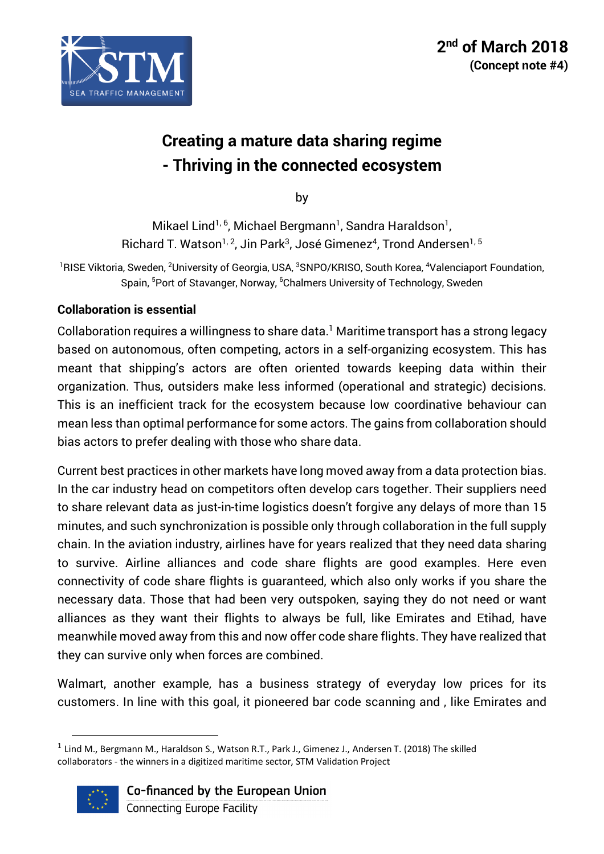

# **Creating a mature data sharing regime - Thriving in the connected ecosystem**

by

Mikael Lind<sup>1, 6</sup>, Michael Bergmann<sup>1</sup>, Sandra Haraldson<sup>1</sup>, Richard T. Watson<sup>1, 2</sup>, Jin Park<sup>3</sup>, José Gimenez<sup>4</sup>, Trond Andersen<sup>1, 5</sup>

<sup>1</sup>RISE Viktoria, Sweden, <sup>2</sup>University of Georgia, USA, <sup>3</sup>SNPO/KRISO, South Korea, <sup>4</sup>Valenciaport Foundation, Spain, <sup>5</sup>Port of Stavanger, Norway, <sup>6</sup>Chalmers University of Technology, Sweden

### **Collaboration is essential**

Collaboration requires a willingness to share data. <sup>1</sup> Maritime transport has a strong legacy based on autonomous, often competing, actors in a self-organizing ecosystem. This has meant that shipping's actors are often oriented towards keeping data within their organization. Thus, outsiders make less informed (operational and strategic) decisions. This is an inefficient track for the ecosystem because low coordinative behaviour can mean less than optimal performance for some actors. The gains from collaboration should bias actors to prefer dealing with those who share data.

Current best practices in other markets have long moved away from a data protection bias. In the car industry head on competitors often develop cars together. Their suppliers need to share relevant data as just-in-time logistics doesn't forgive any delays of more than 15 minutes, and such synchronization is possible only through collaboration in the full supply chain. In the aviation industry, airlines have for years realized that they need data sharing to survive. Airline alliances and code share flights are good examples. Here even connectivity of code share flights is guaranteed, which also only works if you share the necessary data. Those that had been very outspoken, saying they do not need or want alliances as they want their flights to always be full, like Emirates and Etihad, have meanwhile moved away from this and now offer code share flights. They have realized that they can survive only when forces are combined.

Walmart, another example, has a business strategy of everyday low prices for its customers. In line with this goal, it pioneered bar code scanning and , like Emirates and

 $1$  Lind M., Bergmann M., Haraldson S., Watson R.T., Park J., Gimenez J., Andersen T. (2018) The skilled collaborators - the winners in a digitized maritime sector, STM Validation Project

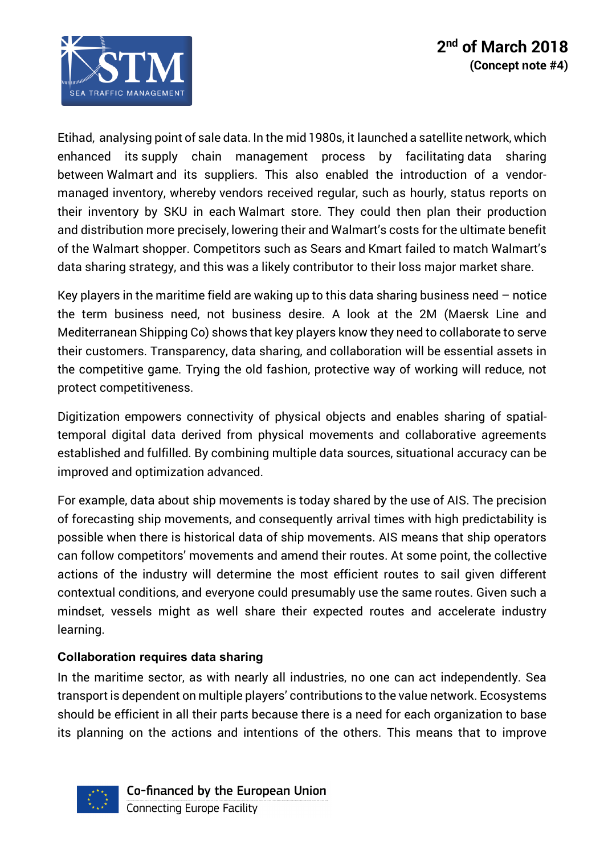

Etihad, analysing point of sale data. In the mid 1980s, it launched a satellite network, which enhanced its supply chain management process by facilitating data sharing between Walmart and its suppliers. This also enabled the introduction of a vendormanaged inventory, whereby vendors received regular, such as hourly, status reports on their inventory by SKU in each Walmart store. They could then plan their production and distribution more precisely, lowering their and Walmart's costs for the ultimate benefit of the Walmart shopper. Competitors such as Sears and Kmart failed to match Walmart's data sharing strategy, and this was a likely contributor to their loss major market share.

Key players in the maritime field are waking up to this data sharing business need – notice the term business need, not business desire. A look at the 2M (Maersk Line and Mediterranean Shipping Co) shows that key players know they need to collaborate to serve their customers. Transparency, data sharing, and collaboration will be essential assets in the competitive game. Trying the old fashion, protective way of working will reduce, not protect competitiveness.

Digitization empowers connectivity of physical objects and enables sharing of spatialtemporal digital data derived from physical movements and collaborative agreements established and fulfilled. By combining multiple data sources, situational accuracy can be improved and optimization advanced.

For example, data about ship movements is today shared by the use of AIS. The precision of forecasting ship movements, and consequently arrival times with high predictability is possible when there is historical data of ship movements. AIS means that ship operators can follow competitors' movements and amend their routes. At some point, the collective actions of the industry will determine the most efficient routes to sail given different contextual conditions, and everyone could presumably use the same routes. Given such a mindset, vessels might as well share their expected routes and accelerate industry learning.

### **Collaboration requires data sharing**

In the maritime sector, as with nearly all industries, no one can act independently. Sea transport is dependent on multiple players' contributions to the value network. Ecosystems should be efficient in all their parts because there is a need for each organization to base its planning on the actions and intentions of the others. This means that to improve



Co-financed by the European Union **Connecting Europe Facility**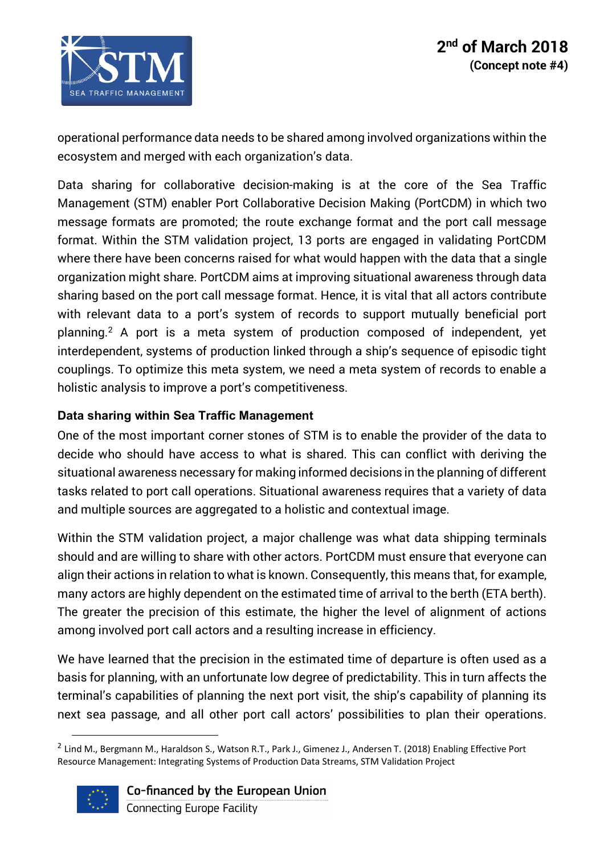

operational performance data needs to be shared among involved organizations within the ecosystem and merged with each organization's data.

Data sharing for collaborative decision-making is at the core of the Sea Traffic Management (STM) enabler Port Collaborative Decision Making (PortCDM) in which two message formats are promoted; the route exchange format and the port call message format. Within the STM validation project, 13 ports are engaged in validating PortCDM where there have been concerns raised for what would happen with the data that a single organization might share. PortCDM aims at improving situational awareness through data sharing based on the port call message format. Hence, it is vital that all actors contribute with relevant data to a port's system of records to support mutually beneficial port planning. <sup>2</sup> A port is a meta system of production composed of independent, yet interdependent, systems of production linked through a ship's sequence of episodic tight couplings. To optimize this meta system, we need a meta system of records to enable a holistic analysis to improve a port's competitiveness.

# **Data sharing within Sea Traffic Management**

One of the most important corner stones of STM is to enable the provider of the data to decide who should have access to what is shared. This can conflict with deriving the situational awareness necessary for making informed decisions in the planning of different tasks related to port call operations. Situational awareness requires that a variety of data and multiple sources are aggregated to a holistic and contextual image.

Within the STM validation project, a major challenge was what data shipping terminals should and are willing to share with other actors. PortCDM must ensure that everyone can align their actions in relation to what is known. Consequently, this means that, for example, many actors are highly dependent on the estimated time of arrival to the berth (ETA berth). The greater the precision of this estimate, the higher the level of alignment of actions among involved port call actors and a resulting increase in efficiency.

We have learned that the precision in the estimated time of departure is often used as a basis for planning, with an unfortunate low degree of predictability. This in turn affects the terminal's capabilities of planning the next port visit, the ship's capability of planning its next sea passage, and all other port call actors' possibilities to plan their operations.

 $^2$  Lind M., Bergmann M., Haraldson S., Watson R.T., Park J., Gimenez J., Andersen T. (2018) Enabling Effective Port Resource Management: Integrating Systems of Production Data Streams, STM Validation Project



Co-financed by the European Union

**Connecting Europe Facility**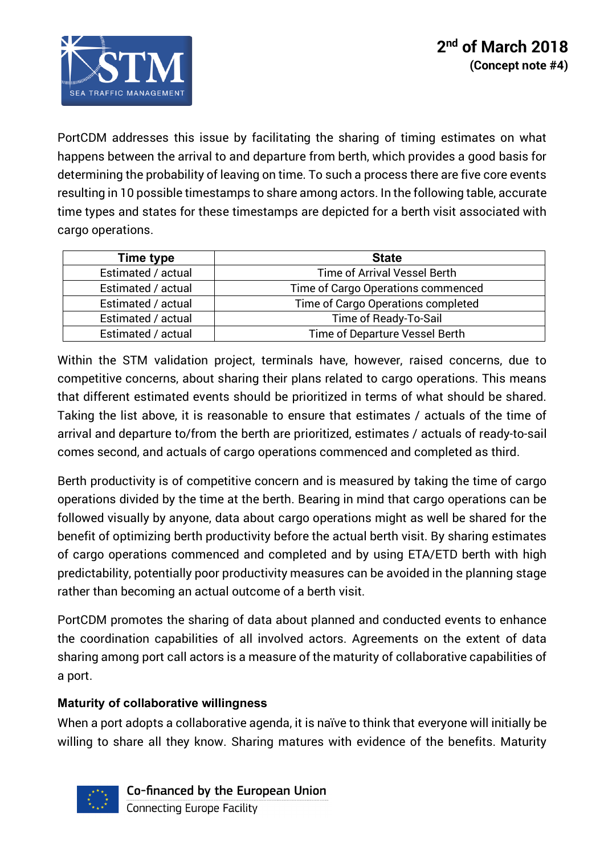

PortCDM addresses this issue by facilitating the sharing of timing estimates on what happens between the arrival to and departure from berth, which provides a good basis for determining the probability of leaving on time. To such a process there are five core events resulting in 10 possible timestamps to share among actors. In the following table, accurate time types and states for these timestamps are depicted for a berth visit associated with cargo operations.

| Time type          | <b>State</b>                       |
|--------------------|------------------------------------|
| Estimated / actual | Time of Arrival Vessel Berth       |
| Estimated / actual | Time of Cargo Operations commenced |
| Estimated / actual | Time of Cargo Operations completed |
| Estimated / actual | Time of Ready-To-Sail              |
| Estimated / actual | Time of Departure Vessel Berth     |

Within the STM validation project, terminals have, however, raised concerns, due to competitive concerns, about sharing their plans related to cargo operations. This means that different estimated events should be prioritized in terms of what should be shared. Taking the list above, it is reasonable to ensure that estimates / actuals of the time of arrival and departure to/from the berth are prioritized, estimates / actuals of ready-to-sail comes second, and actuals of cargo operations commenced and completed as third.

Berth productivity is of competitive concern and is measured by taking the time of cargo operations divided by the time at the berth. Bearing in mind that cargo operations can be followed visually by anyone, data about cargo operations might as well be shared for the benefit of optimizing berth productivity before the actual berth visit. By sharing estimates of cargo operations commenced and completed and by using ETA/ETD berth with high predictability, potentially poor productivity measures can be avoided in the planning stage rather than becoming an actual outcome of a berth visit.

PortCDM promotes the sharing of data about planned and conducted events to enhance the coordination capabilities of all involved actors. Agreements on the extent of data sharing among port call actors is a measure of the maturity of collaborative capabilities of a port.

### **Maturity of collaborative willingness**

When a port adopts a collaborative agenda, it is naïve to think that everyone will initially be willing to share all they know. Sharing matures with evidence of the benefits. Maturity



Co-financed by the European Union **Connecting Europe Facility**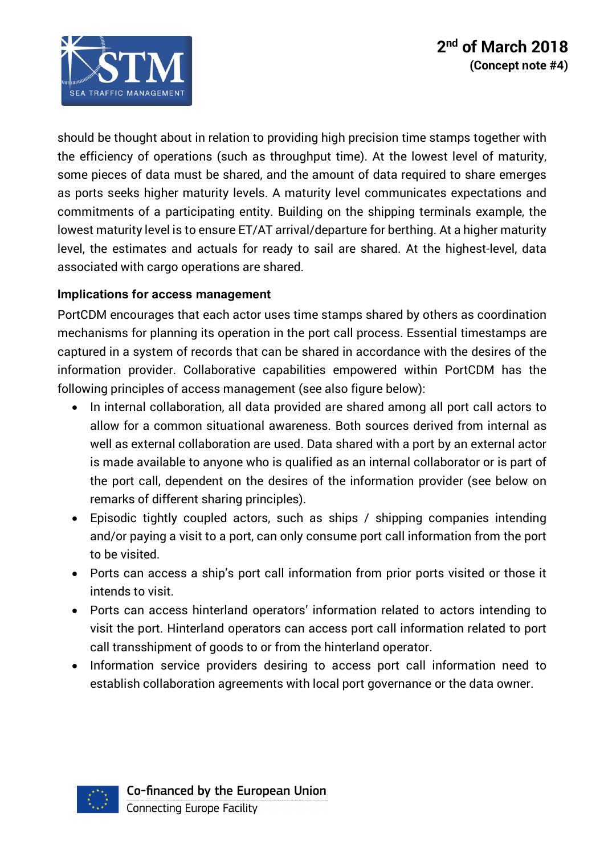

should be thought about in relation to providing high precision time stamps together with the efficiency of operations (such as throughput time). At the lowest level of maturity, some pieces of data must be shared, and the amount of data required to share emerges as ports seeks higher maturity levels. A maturity level communicates expectations and commitments of a participating entity. Building on the shipping terminals example, the lowest maturity level is to ensure ET/AT arrival/departure for berthing. At a higher maturity level, the estimates and actuals for ready to sail are shared. At the highest-level, data associated with cargo operations are shared.

# **Implications for access management**

PortCDM encourages that each actor uses time stamps shared by others as coordination mechanisms for planning its operation in the port call process. Essential timestamps are captured in a system of records that can be shared in accordance with the desires of the information provider. Collaborative capabilities empowered within PortCDM has the following principles of access management (see also figure below):

- In internal collaboration, all data provided are shared among all port call actors to allow for a common situational awareness. Both sources derived from internal as well as external collaboration are used. Data shared with a port by an external actor is made available to anyone who is qualified as an internal collaborator or is part of the port call, dependent on the desires of the information provider (see below on remarks of different sharing principles).
- Episodic tightly coupled actors, such as ships / shipping companies intending and/or paying a visit to a port, can only consume port call information from the port to be visited.
- Ports can access a ship's port call information from prior ports visited or those it intends to visit.
- Ports can access hinterland operators' information related to actors intending to visit the port. Hinterland operators can access port call information related to port call transshipment of goods to or from the hinterland operator.
- Information service providers desiring to access port call information need to establish collaboration agreements with local port governance or the data owner.

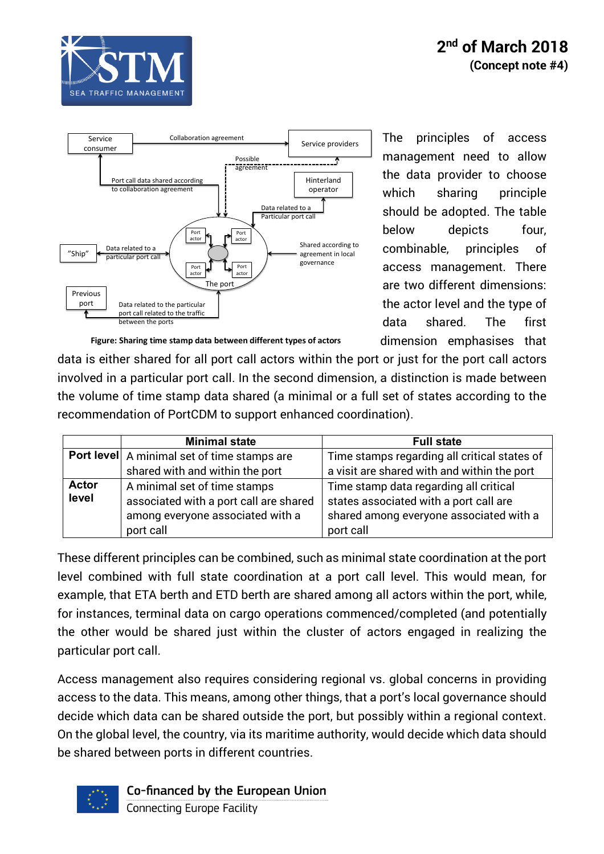



The principles of access management need to allow the data provider to choose which sharing principle should be adopted. The table below depicts four, combinable, principles of access management. There are two different dimensions: the actor level and the type of data shared. The first dimension emphasises that

**Figure: Sharing time stamp data between different types of actors**

data is either shared for all port call actors within the port or just for the port call actors involved in a particular port call. In the second dimension, a distinction is made between the volume of time stamp data shared (a minimal or a full set of states according to the recommendation of PortCDM to support enhanced coordination).

|                       | <b>Minimal state</b>                                                                                                    | <b>Full state</b>                                                                                                                        |
|-----------------------|-------------------------------------------------------------------------------------------------------------------------|------------------------------------------------------------------------------------------------------------------------------------------|
|                       | <b>Port level</b> A minimal set of time stamps are                                                                      | Time stamps regarding all critical states of                                                                                             |
|                       | shared with and within the port                                                                                         | a visit are shared with and within the port                                                                                              |
| <b>Actor</b><br>level | A minimal set of time stamps<br>associated with a port call are shared<br>among everyone associated with a<br>port call | Time stamp data regarding all critical<br>states associated with a port call are<br>shared among everyone associated with a<br>port call |

These different principles can be combined, such as minimal state coordination at the port level combined with full state coordination at a port call level. This would mean, for example, that ETA berth and ETD berth are shared among all actors within the port, while, for instances, terminal data on cargo operations commenced/completed (and potentially the other would be shared just within the cluster of actors engaged in realizing the particular port call.

Access management also requires considering regional vs. global concerns in providing access to the data. This means, among other things, that a port's local governance should decide which data can be shared outside the port, but possibly within a regional context. On the global level, the country, via its maritime authority, would decide which data should be shared between ports in different countries.



Co-financed by the European Union

**Connecting Europe Facility**